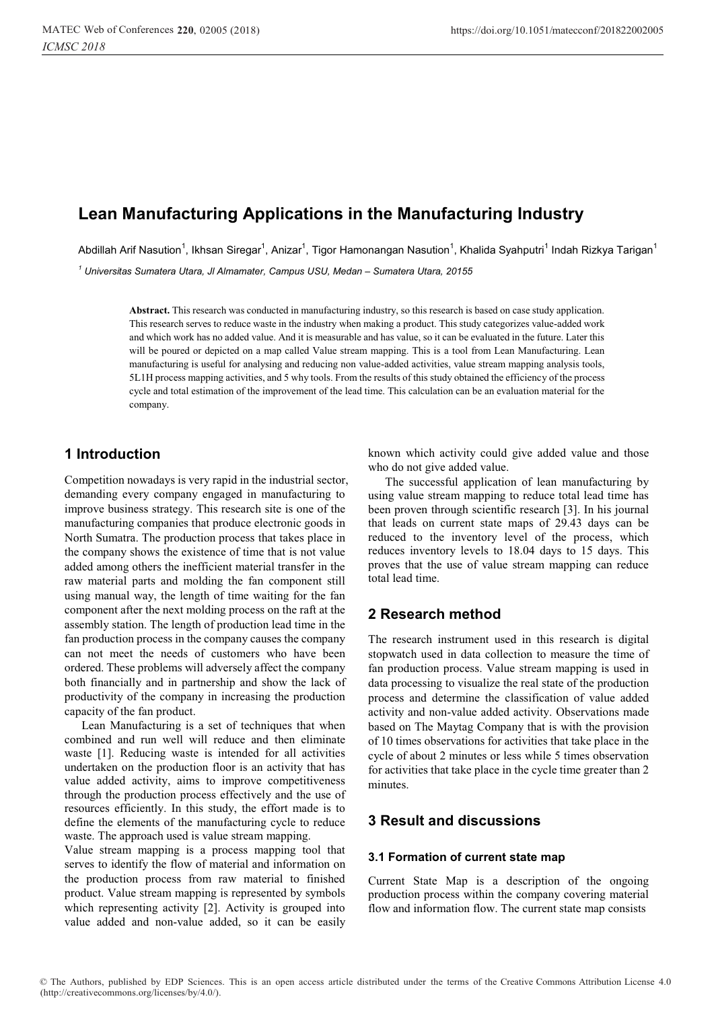# **Lean Manufacturing Applications in the Manufacturing Industry**

Abdillah Arif Nasution<sup>1</sup>, Ikhsan Siregar<sup>1</sup>, Anizar<sup>1</sup>, Tigor Hamonangan Nasution<sup>1</sup>, Khalida Syahputri<sup>1</sup> Indah Rizkya Tarigan<sup>1</sup>

<sup>1</sup> Universitas Sumatera Utara, JI Almamater, Campus USU, Medan - Sumatera Utara, 20155

**Abstract.** This research was conducted in manufacturing industry, so this research is based on case study application. This research serves to reduce waste in the industry when making a product. This study categorizes value-added work and which work has no added value. And it is measurable and has value, so it can be evaluated in the future. Later this will be poured or depicted on a map called Value stream mapping. This is a tool from Lean Manufacturing. Lean manufacturing is useful for analysing and reducing non value-added activities, value stream mapping analysis tools, 5L1H process mapping activities, and 5 why tools. From the results of this study obtained the efficiency of the process cycle and total estimation of the improvement of the lead time. This calculation can be an evaluation material for the company.

# **1 Introduction**

Competition nowadays is very rapid in the industrial sector, demanding every company engaged in manufacturing to improve business strategy. This research site is one of the manufacturing companies that produce electronic goods in North Sumatra. The production process that takes place in the company shows the existence of time that is not value added among others the inefficient material transfer in the raw material parts and molding the fan component still using manual way, the length of time waiting for the fan component after the next molding process on the raft at the assembly station. The length of production lead time in the fan production process in the company causes the company can not meet the needs of customers who have been ordered. These problems will adversely affect the company both financially and in partnership and show the lack of productivity of the company in increasing the production capacity of the fan product.

Lean Manufacturing is a set of techniques that when combined and run well will reduce and then eliminate waste [1]. Reducing waste is intended for all activities undertaken on the production floor is an activity that has value added activity, aims to improve competitiveness through the production process effectively and the use of resources efficiently. In this study, the effort made is to define the elements of the manufacturing cycle to reduce waste. The approach used is value stream mapping.

Value stream mapping is a process mapping tool that serves to identify the flow of material and information on the production process from raw material to finished product. Value stream mapping is represented by symbols which representing activity [2]. Activity is grouped into value added and non-value added, so it can be easily known which activity could give added value and those who do not give added value.

The successful application of lean manufacturing by using value stream mapping to reduce total lead time has been proven through scientific research [3]. In his journal that leads on current state maps of 29.43 days can be reduced to the inventory level of the process, which reduces inventory levels to 18.04 days to 15 days. This proves that the use of value stream mapping can reduce total lead time.

# **2 Research method**

The research instrument used in this research is digital stopwatch used in data collection to measure the time of fan production process. Value stream mapping is used in data processing to visualize the real state of the production process and determine the classification of value added activity and non-value added activity. Observations made based on The Maytag Company that is with the provision of 10 times observations for activities that take place in the cycle of about 2 minutes or less while 5 times observation for activities that take place in the cycle time greater than 2 minutes.

# **3 Result and discussions**

## **3.1 Formation of current state map**

Current State Map is a description of the ongoing production process within the company covering material flow and information flow. The current state map consists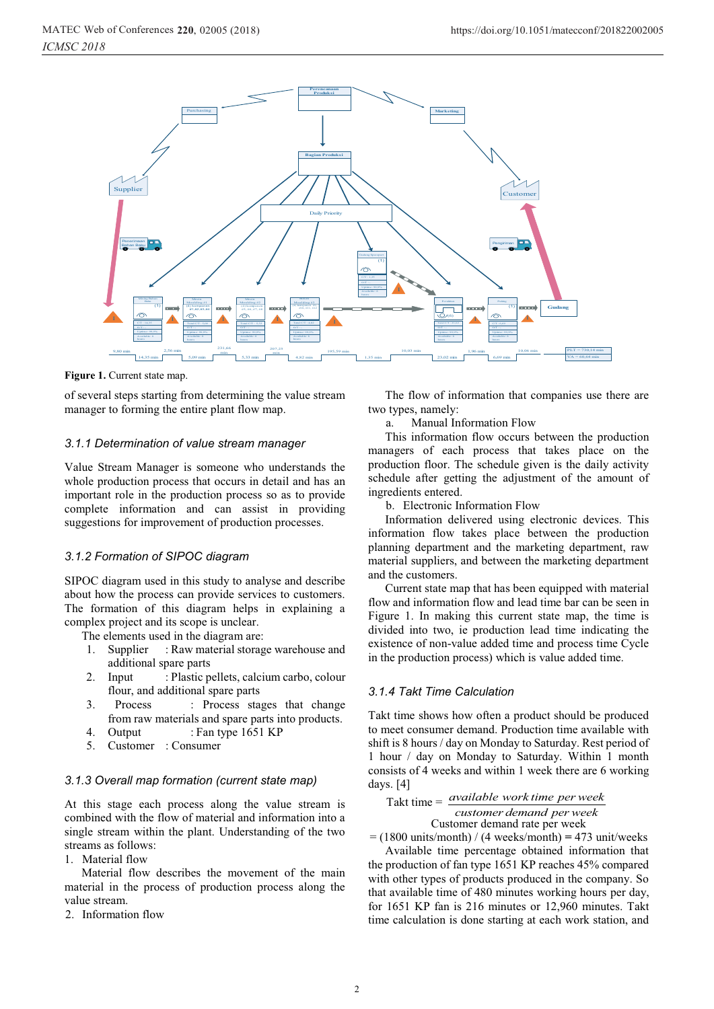

**Figure 1.** Current state map.

of several steps starting from determining the value stream manager to forming the entire plant flow map.

#### *3.1.1 Determination of value stream manager*

Value Stream Manager is someone who understands the whole production process that occurs in detail and has an important role in the production process so as to provide complete information and can assist in providing suggestions for improvement of production processes.

#### *3.1.2 Formation of SIPOC diagram*

SIPOC diagram used in this study to analyse and describe about how the process can provide services to customers. The formation of this diagram helps in explaining a complex project and its scope is unclear.

The elements used in the diagram are:

- 1. Supplier : Raw material storage warehouse and additional spare parts
- 2. Input : Plastic pellets, calcium carbo, colour flour, and additional spare parts
- 3. Process : Process stages that change from raw materials and spare parts into products.
- 4. Output : Fan type 1651 KP
- 5. Customer : Consumer

## *3.1.3 Overall map formation (current state map)*

At this stage each process along the value stream is combined with the flow of material and information into a single stream within the plant. Understanding of the two streams as follows:

1. Material flow

Material flow describes the movement of the main material in the process of production process along the value stream.

2. Information flow

The flow of information that companies use there are two types, namely:

a. Manual Information Flow

This information flow occurs between the production managers of each process that takes place on the production floor. The schedule given is the daily activity schedule after getting the adjustment of the amount of ingredients entered.

b. Electronic Information Flow

Information delivered using electronic devices. This information flow takes place between the production planning department and the marketing department, raw material suppliers, and between the marketing department and the customers.

Current state map that has been equipped with material flow and information flow and lead time bar can be seen in Figure 1. In making this current state map, the time is divided into two, ie production lead time indicating the existence of non-value added time and process time Cycle in the production process) which is value added time.

#### *3.1.4 Takt Time Calculation*

Takt time shows how often a product should be produced to meet consumer demand. Production time available with shift is 8 hours / day on Monday to Saturday. Rest period of 1 hour / day on Monday to Saturday. Within 1 month consists of 4 weeks and within 1 week there are 6 working days. [4]

That time = 
$$
\frac{available\ work\ time\ per\ week}{customer\ demand\ per\ week}
$$

\nCustomer demand rate per week

 $=$  (1800 units/month) / (4 weeks/month)  $=$  473 unit/weeks Available time percentage obtained information that the production of fan type 1651 KP reaches 45% compared with other types of products produced in the company. So that available time of 480 minutes working hours per day,

for 1651 KP fan is 216 minutes or 12,960 minutes. Takt time calculation is done starting at each work station, and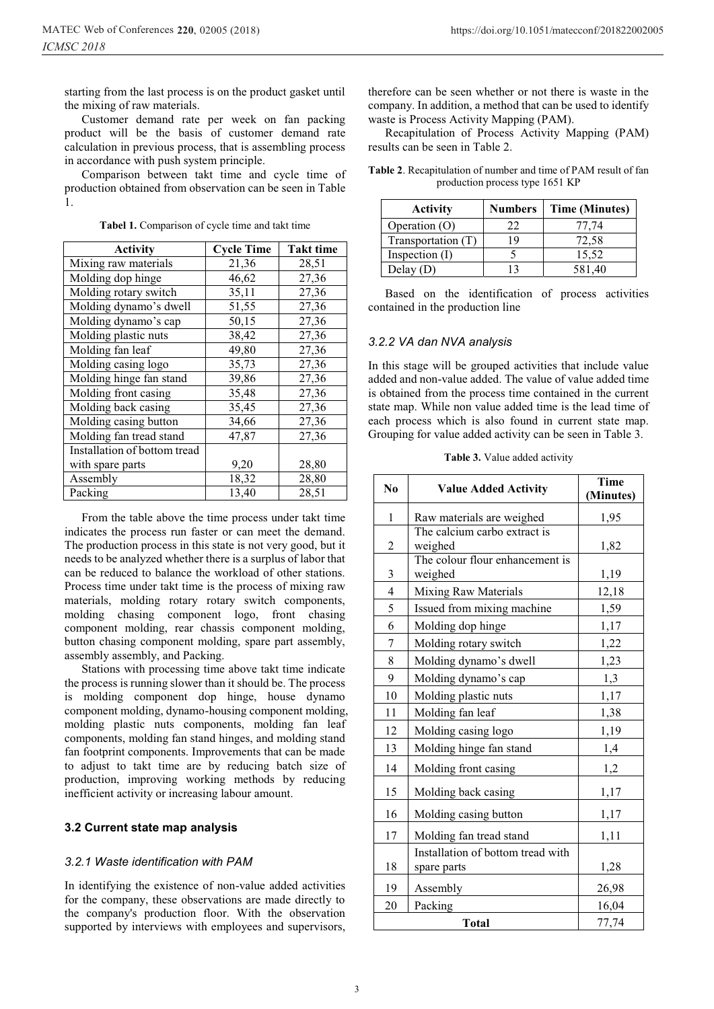starting from the last process is on the product gasket until the mixing of raw materials.

Customer demand rate per week on fan packing product will be the basis of customer demand rate calculation in previous process, that is assembling process in accordance with push system principle.

Comparison between takt time and cycle time of production obtained from observation can be seen in Table 1.

| <b>Activity</b>              | <b>Cycle Time</b> | <b>Takt time</b> |
|------------------------------|-------------------|------------------|
| Mixing raw materials         | 21,36             | 28,51            |
| Molding dop hinge            | 46,62             | 27,36            |
| Molding rotary switch        | 35,11             | 27,36            |
| Molding dynamo's dwell       | 51,55             | 27,36            |
| Molding dynamo's cap         | 50,15             | 27,36            |
| Molding plastic nuts         | 38,42             | 27,36            |
| Molding fan leaf             | 49,80             | 27,36            |
| Molding casing logo          | 35,73             | 27,36            |
| Molding hinge fan stand      | 39,86             | 27,36            |
| Molding front casing         | 35,48             | 27,36            |
| Molding back casing          | 35,45             | 27,36            |
| Molding casing button        | 34,66             | 27,36            |
| Molding fan tread stand      | 47,87             | 27,36            |
| Installation of bottom tread |                   |                  |
| with spare parts             | 9,20              | 28,80            |
| Assembly                     | 18,32             | 28,80            |
| Packing                      | 13,40             | 28,51            |

**Tabel 1.** Comparison of cycle time and takt time

From the table above the time process under takt time indicates the process run faster or can meet the demand. The production process in this state is not very good, but it needs to be analyzed whether there is a surplus of labor that can be reduced to balance the workload of other stations. Process time under takt time is the process of mixing raw materials, molding rotary rotary switch components, molding chasing component logo, front chasing component molding, rear chassis component molding, button chasing component molding, spare part assembly, assembly assembly, and Packing.

Stations with processing time above takt time indicate the process is running slower than it should be. The process is molding component dop hinge, house dynamo component molding, dynamo-housing component molding, molding plastic nuts components, molding fan leaf components, molding fan stand hinges, and molding stand fan footprint components. Improvements that can be made to adjust to takt time are by reducing batch size of production, improving working methods by reducing inefficient activity or increasing labour amount.

## **3.2 Current state map analysis**

## *3.2.1 Waste identification with PAM*

In identifying the existence of non-value added activities for the company, these observations are made directly to the company's production floor. With the observation supported by interviews with employees and supervisors,

therefore can be seen whether or not there is waste in the company. In addition, a method that can be used to identify waste is Process Activity Mapping (PAM).

Recapitulation of Process Activity Mapping (PAM) results can be seen in Table 2.

| <b>Activity</b>    | <b>Numbers</b> | <b>Time (Minutes)</b> |
|--------------------|----------------|-----------------------|
| Operation (O)      | フフ             | 77.74                 |
| Transportation (T) | 19             | 72,58                 |
| Inspection $(I)$   |                | 15,52                 |
| Delay(D)           | 13             | 581,40                |

**Table 2**. Recapitulation of number and time of PAM result of fan production process type 1651 KP

|                                  |  |  | Based on the identification of process activities |  |  |  |
|----------------------------------|--|--|---------------------------------------------------|--|--|--|
| contained in the production line |  |  |                                                   |  |  |  |

#### *3.2.2 VA dan NVA analysis*

In this stage will be grouped activities that include value added and non-value added. The value of value added time is obtained from the process time contained in the current state map. While non value added time is the lead time of each process which is also found in current state map. Grouping for value added activity can be seen in Table 3.

**Table 3.** Value added activity

| N <sub>0</sub> | <b>Value Added Activity</b>                      | <b>Time</b><br>(Minutes) |
|----------------|--------------------------------------------------|--------------------------|
| $\mathbf{1}$   | Raw materials are weighed                        | 1,95                     |
| 2              | The calcium carbo extract is<br>weighed          | 1,82                     |
| 3              | The colour flour enhancement is<br>weighed       | 1,19                     |
| 4              | <b>Mixing Raw Materials</b>                      | 12,18                    |
| 5              | Issued from mixing machine                       | 1,59                     |
| 6              | Molding dop hinge                                | 1,17                     |
| 7              | Molding rotary switch                            | 1,22                     |
| 8              | Molding dynamo's dwell                           | 1,23                     |
| 9              | Molding dynamo's cap                             | 1,3                      |
| 10             | Molding plastic nuts                             | 1,17                     |
| 11             | Molding fan leaf                                 | 1,38                     |
| 12             | Molding casing logo                              | 1,19                     |
| 13             | Molding hinge fan stand                          | 1,4                      |
| 14             | Molding front casing                             | 1,2                      |
| 15             | Molding back casing                              | 1,17                     |
| 16             | Molding casing button                            | 1,17                     |
| 17             | Molding fan tread stand                          | 1,11                     |
| 18             | Installation of bottom tread with<br>spare parts | 1,28                     |
| 19             | Assembly                                         | 26,98                    |
| 20             | Packing                                          | 16,04                    |
|                | <b>Total</b>                                     | 77,74                    |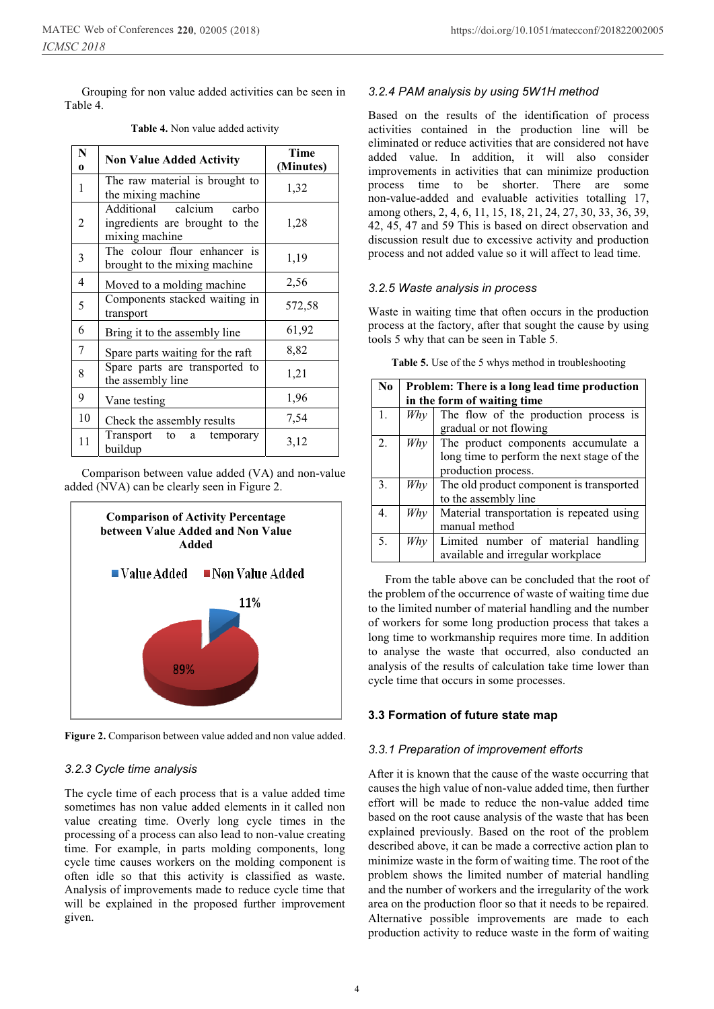Grouping for non value added activities can be seen in Table 4.

| N<br>$\Omega$ | <b>Non Value Added Activity</b>                                                 | Time<br>(Minutes) |
|---------------|---------------------------------------------------------------------------------|-------------------|
| 1             | The raw material is brought to<br>the mixing machine                            | 1,32              |
| 2             | Additional calcium<br>carbo<br>ingredients are brought to the<br>mixing machine | 1,28              |
| 3             | The colour flour enhancer is<br>brought to the mixing machine                   | 1,19              |
| 4             | Moved to a molding machine                                                      | 2,56              |
| 5             | Components stacked waiting in<br>transport                                      | 572,58            |
| 6             | Bring it to the assembly line                                                   | 61,92             |
| $\tau$        | Spare parts waiting for the raft                                                | 8,82              |
| 8             | Spare parts are transported to<br>1,21<br>the assembly line                     |                   |
| 9             | Vane testing                                                                    | 1,96              |
| 10            | Check the assembly results                                                      | 7,54              |
| 11            | Transport to a temporary<br>buildup                                             | 3,12              |

#### **Table 4.** Non value added activity

Comparison between value added (VA) and non-value added (NVA) can be clearly seen in Figure 2.



**Figure 2.** Comparison between value added and non value added.

## *3.2.3 Cycle time analysis*

The cycle time of each process that is a value added time sometimes has non value added elements in it called non value creating time. Overly long cycle times in the processing of a process can also lead to non-value creating time. For example, in parts molding components, long cycle time causes workers on the molding component is often idle so that this activity is classified as waste. Analysis of improvements made to reduce cycle time that will be explained in the proposed further improvement given.

#### *3.2.4 PAM analysis by using 5W1H method*

Based on the results of the identification of process activities contained in the production line will be eliminated or reduce activities that are considered not have added value. In addition, it will also consider improvements in activities that can minimize production process time to be shorter. There are some non-value-added and evaluable activities totalling 17, among others, 2, 4, 6, 11, 15, 18, 21, 24, 27, 30, 33, 36, 39, 42, 45, 47 and 59 This is based on direct observation and discussion result due to excessive activity and production process and not added value so it will affect to lead time.

#### *3.2.5 Waste analysis in process*

Waste in waiting time that often occurs in the production process at the factory, after that sought the cause by using tools 5 why that can be seen in Table 5.

| Table 5. Use of the 5 whys method in troubleshooting |  |  |
|------------------------------------------------------|--|--|
|------------------------------------------------------|--|--|

| N <sub>0</sub> | Problem: There is a long lead time production<br>in the form of waiting time |                                                                                                          |  |
|----------------|------------------------------------------------------------------------------|----------------------------------------------------------------------------------------------------------|--|
| 1.             | W h y                                                                        | The flow of the production process is<br>gradual or not flowing                                          |  |
| 2.             | $Wh$ y                                                                       | The product components accumulate a<br>long time to perform the next stage of the<br>production process. |  |
| 3.             | Why                                                                          | The old product component is transported<br>to the assembly line                                         |  |
| 4.             | Why                                                                          | Material transportation is repeated using<br>manual method                                               |  |
| 5.             | Whv                                                                          | Limited number of material handling<br>available and irregular workplace                                 |  |

From the table above can be concluded that the root of the problem of the occurrence of waste of waiting time due to the limited number of material handling and the number of workers for some long production process that takes a long time to workmanship requires more time. In addition to analyse the waste that occurred, also conducted an analysis of the results of calculation take time lower than cycle time that occurs in some processes.

#### **3.3 Formation of future state map**

#### *3.3.1 Preparation of improvement efforts*

After it is known that the cause of the waste occurring that causes the high value of non-value added time, then further effort will be made to reduce the non-value added time based on the root cause analysis of the waste that has been explained previously. Based on the root of the problem described above, it can be made a corrective action plan to minimize waste in the form of waiting time. The root of the problem shows the limited number of material handling and the number of workers and the irregularity of the work area on the production floor so that it needs to be repaired. Alternative possible improvements are made to each production activity to reduce waste in the form of waiting